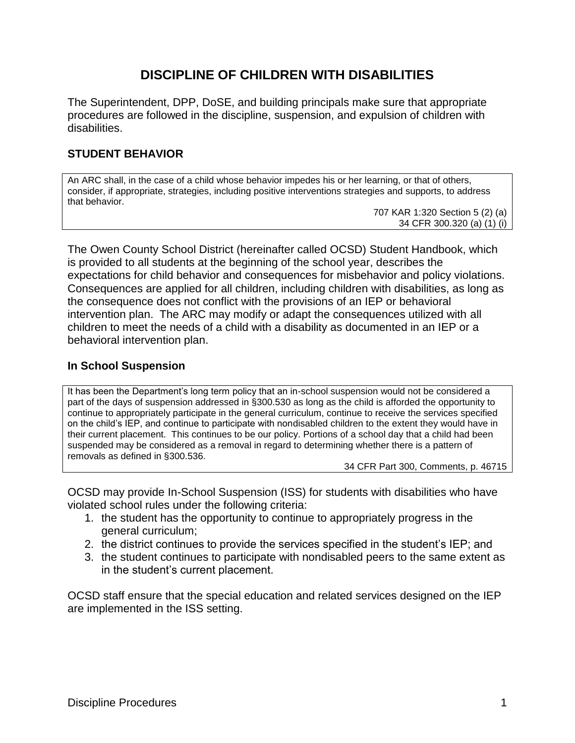# **DISCIPLINE OF CHILDREN WITH DISABILITIES**

The Superintendent, DPP, DoSE, and building principals make sure that appropriate procedures are followed in the discipline, suspension, and expulsion of children with disabilities.

# **STUDENT BEHAVIOR**

An ARC shall, in the case of a child whose behavior impedes his or her learning, or that of others, consider, if appropriate, strategies, including positive interventions strategies and supports, to address that behavior.

707 KAR 1:320 Section 5 (2) (a) 34 CFR 300.320 (a) (1) (i)

The Owen County School District (hereinafter called OCSD) Student Handbook, which is provided to all students at the beginning of the school year, describes the expectations for child behavior and consequences for misbehavior and policy violations. Consequences are applied for all children, including children with disabilities, as long as the consequence does not conflict with the provisions of an IEP or behavioral intervention plan. The ARC may modify or adapt the consequences utilized with all children to meet the needs of a child with a disability as documented in an IEP or a behavioral intervention plan.

# **In School Suspension**

It has been the Department's long term policy that an in-school suspension would not be considered a part of the days of suspension addressed in §300.530 as long as the child is afforded the opportunity to continue to appropriately participate in the general curriculum, continue to receive the services specified on the child's IEP, and continue to participate with nondisabled children to the extent they would have in their current placement. This continues to be our policy. Portions of a school day that a child had been suspended may be considered as a removal in regard to determining whether there is a pattern of removals as defined in §300.536.

34 CFR Part 300, Comments, p. 46715

OCSD may provide In-School Suspension (ISS) for students with disabilities who have violated school rules under the following criteria:

- 1. the student has the opportunity to continue to appropriately progress in the general curriculum;
- 2. the district continues to provide the services specified in the student's IEP; and
- 3. the student continues to participate with nondisabled peers to the same extent as in the student's current placement.

OCSD staff ensure that the special education and related services designed on the IEP are implemented in the ISS setting.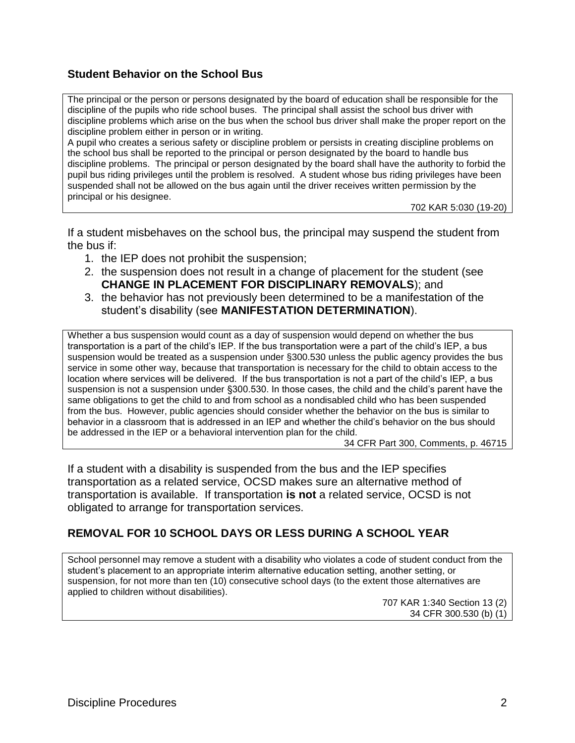# **Student Behavior on the School Bus**

The principal or the person or persons designated by the board of education shall be responsible for the discipline of the pupils who ride school buses. The principal shall assist the school bus driver with discipline problems which arise on the bus when the school bus driver shall make the proper report on the discipline problem either in person or in writing. A pupil who creates a serious safety or discipline problem or persists in creating discipline problems on

the school bus shall be reported to the principal or person designated by the board to handle bus discipline problems. The principal or person designated by the board shall have the authority to forbid the pupil bus riding privileges until the problem is resolved. A student whose bus riding privileges have been suspended shall not be allowed on the bus again until the driver receives written permission by the principal or his designee.

702 KAR 5:030 (19-20)

If a student misbehaves on the school bus, the principal may suspend the student from the bus if:

- 1. the IEP does not prohibit the suspension;
- 2. the suspension does not result in a change of placement for the student (see **CHANGE IN PLACEMENT FOR DISCIPLINARY REMOVALS**); and
- 3. the behavior has not previously been determined to be a manifestation of the student's disability (see **MANIFESTATION DETERMINATION**).

Whether a bus suspension would count as a day of suspension would depend on whether the bus transportation is a part of the child's IEP. If the bus transportation were a part of the child's IEP, a bus suspension would be treated as a suspension under §300.530 unless the public agency provides the bus service in some other way, because that transportation is necessary for the child to obtain access to the location where services will be delivered. If the bus transportation is not a part of the child's IEP, a bus suspension is not a suspension under §300.530. In those cases, the child and the child's parent have the same obligations to get the child to and from school as a nondisabled child who has been suspended from the bus. However, public agencies should consider whether the behavior on the bus is similar to behavior in a classroom that is addressed in an IEP and whether the child's behavior on the bus should be addressed in the IEP or a behavioral intervention plan for the child.

34 CFR Part 300, Comments, p. 46715

If a student with a disability is suspended from the bus and the IEP specifies transportation as a related service, OCSD makes sure an alternative method of transportation is available. If transportation **is not** a related service, OCSD is not obligated to arrange for transportation services.

### **REMOVAL FOR 10 SCHOOL DAYS OR LESS DURING A SCHOOL YEAR**

School personnel may remove a student with a disability who violates a code of student conduct from the student's placement to an appropriate interim alternative education setting, another setting, or suspension, for not more than ten (10) consecutive school days (to the extent those alternatives are applied to children without disabilities).

707 KAR 1:340 Section 13 (2) 34 CFR 300.530 (b) (1)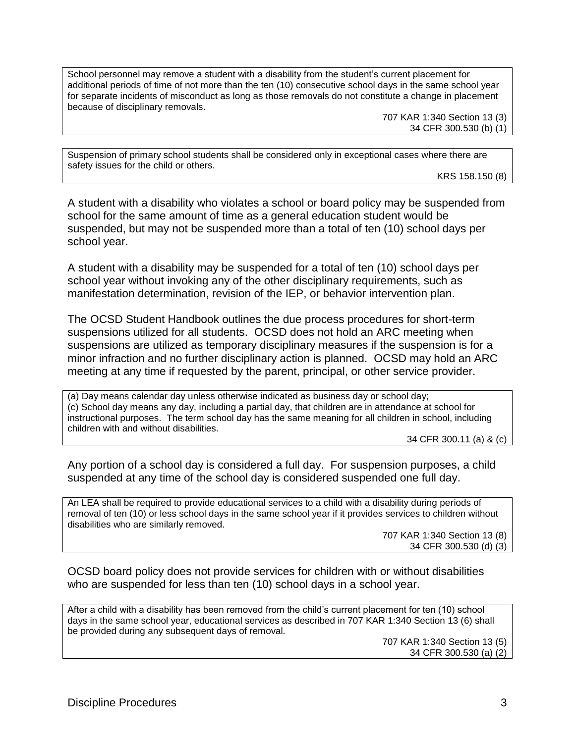School personnel may remove a student with a disability from the student's current placement for additional periods of time of not more than the ten (10) consecutive school days in the same school year for separate incidents of misconduct as long as those removals do not constitute a change in placement because of disciplinary removals.

> 707 KAR 1:340 Section 13 (3) 34 CFR 300.530 (b) (1)

Suspension of primary school students shall be considered only in exceptional cases where there are safety issues for the child or others.

KRS 158.150 (8)

A student with a disability who violates a school or board policy may be suspended from school for the same amount of time as a general education student would be suspended, but may not be suspended more than a total of ten (10) school days per school year.

A student with a disability may be suspended for a total of ten (10) school days per school year without invoking any of the other disciplinary requirements, such as manifestation determination, revision of the IEP, or behavior intervention plan.

The OCSD Student Handbook outlines the due process procedures for short-term suspensions utilized for all students. OCSD does not hold an ARC meeting when suspensions are utilized as temporary disciplinary measures if the suspension is for a minor infraction and no further disciplinary action is planned. OCSD may hold an ARC meeting at any time if requested by the parent, principal, or other service provider.

(a) Day means calendar day unless otherwise indicated as business day or school day; (c) School day means any day, including a partial day, that children are in attendance at school for instructional purposes. The term school day has the same meaning for all children in school, including children with and without disabilities.

34 CFR 300.11 (a) & (c)

Any portion of a school day is considered a full day. For suspension purposes, a child suspended at any time of the school day is considered suspended one full day.

An LEA shall be required to provide educational services to a child with a disability during periods of removal of ten (10) or less school days in the same school year if it provides services to children without disabilities who are similarly removed.

707 KAR 1:340 Section 13 (8) 34 CFR 300.530 (d) (3)

OCSD board policy does not provide services for children with or without disabilities who are suspended for less than ten (10) school days in a school year.

After a child with a disability has been removed from the child's current placement for ten (10) school days in the same school year, educational services as described in 707 KAR 1:340 Section 13 (6) shall be provided during any subsequent days of removal.

707 KAR 1:340 Section 13 (5) 34 CFR 300.530 (a) (2)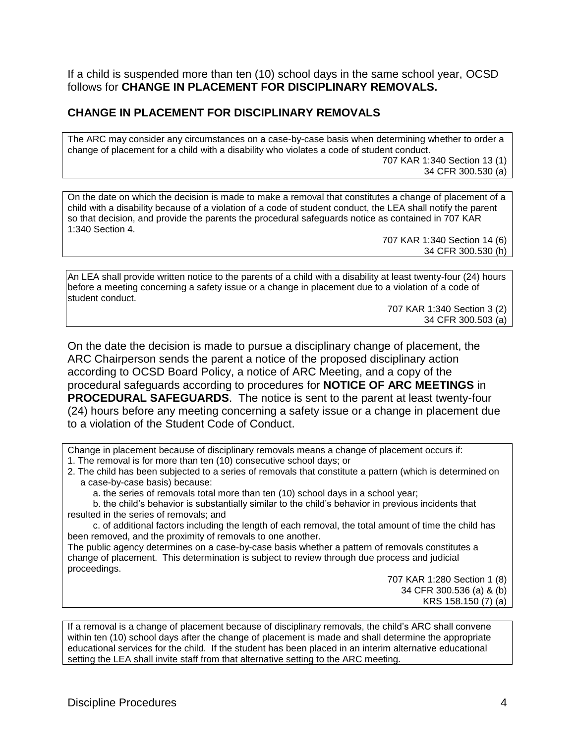If a child is suspended more than ten (10) school days in the same school year, OCSD follows for **CHANGE IN PLACEMENT FOR DISCIPLINARY REMOVALS.**

# **CHANGE IN PLACEMENT FOR DISCIPLINARY REMOVALS**

The ARC may consider any circumstances on a case-by-case basis when determining whether to order a change of placement for a child with a disability who violates a code of student conduct. 707 KAR 1:340 Section 13 (1) 34 CFR 300.530 (a)

On the date on which the decision is made to make a removal that constitutes a change of placement of a child with a disability because of a violation of a code of student conduct, the LEA shall notify the parent so that decision, and provide the parents the procedural safeguards notice as contained in 707 KAR 1:340 Section 4.

> 707 KAR 1:340 Section 14 (6) 34 CFR 300.530 (h)

An LEA shall provide written notice to the parents of a child with a disability at least twenty-four (24) hours before a meeting concerning a safety issue or a change in placement due to a violation of a code of student conduct.

707 KAR 1:340 Section 3 (2) 34 CFR 300.503 (a)

On the date the decision is made to pursue a disciplinary change of placement, the ARC Chairperson sends the parent a notice of the proposed disciplinary action according to OCSD Board Policy, a notice of ARC Meeting, and a copy of the procedural safeguards according to procedures for **NOTICE OF ARC MEETINGS** in **PROCEDURAL SAFEGUARDS**. The notice is sent to the parent at least twenty-four (24) hours before any meeting concerning a safety issue or a change in placement due to a violation of the Student Code of Conduct.

Change in placement because of disciplinary removals means a change of placement occurs if: 1. The removal is for more than ten (10) consecutive school days; or

2. The child has been subjected to a series of removals that constitute a pattern (which is determined on a case-by-case basis) because:

a. the series of removals total more than ten (10) school days in a school year;

b. the child's behavior is substantially similar to the child's behavior in previous incidents that resulted in the series of removals; and

c. of additional factors including the length of each removal, the total amount of time the child has been removed, and the proximity of removals to one another.

The public agency determines on a case-by-case basis whether a pattern of removals constitutes a change of placement. This determination is subject to review through due process and judicial proceedings.

707 KAR 1:280 Section 1 (8) 34 CFR 300.536 (a) & (b) KRS 158.150 (7) (a)

If a removal is a change of placement because of disciplinary removals, the child's ARC shall convene within ten (10) school days after the change of placement is made and shall determine the appropriate educational services for the child. If the student has been placed in an interim alternative educational setting the LEA shall invite staff from that alternative setting to the ARC meeting.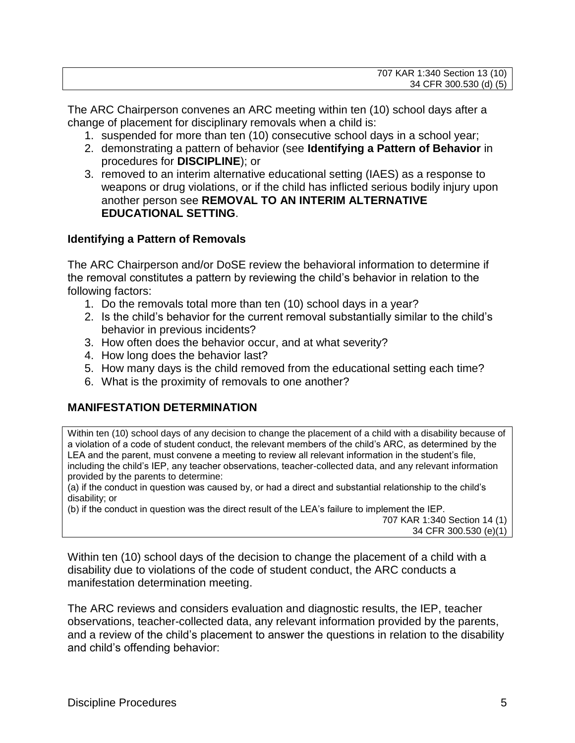| 707 KAR 1:340 Section 13 (10) |
|-------------------------------|
| 34 CFR 300.530 (d) (5)        |

The ARC Chairperson convenes an ARC meeting within ten (10) school days after a change of placement for disciplinary removals when a child is:

- 1. suspended for more than ten (10) consecutive school days in a school year;
- 2. demonstrating a pattern of behavior (see **Identifying a Pattern of Behavior** in procedures for **DISCIPLINE**); or
- 3. removed to an interim alternative educational setting (IAES) as a response to weapons or drug violations, or if the child has inflicted serious bodily injury upon another person see **REMOVAL TO AN INTERIM ALTERNATIVE EDUCATIONAL SETTING**.

### **Identifying a Pattern of Removals**

The ARC Chairperson and/or DoSE review the behavioral information to determine if the removal constitutes a pattern by reviewing the child's behavior in relation to the following factors:

- 1. Do the removals total more than ten (10) school days in a year?
- 2. Is the child's behavior for the current removal substantially similar to the child's behavior in previous incidents?
- 3. How often does the behavior occur, and at what severity?
- 4. How long does the behavior last?
- 5. How many days is the child removed from the educational setting each time?
- 6. What is the proximity of removals to one another?

# **MANIFESTATION DETERMINATION**

Within ten (10) school days of any decision to change the placement of a child with a disability because of a violation of a code of student conduct, the relevant members of the child's ARC, as determined by the LEA and the parent, must convene a meeting to review all relevant information in the student's file, including the child's IEP, any teacher observations, teacher-collected data, and any relevant information provided by the parents to determine:

(a) if the conduct in question was caused by, or had a direct and substantial relationship to the child's disability; or

(b) if the conduct in question was the direct result of the LEA's failure to implement the IEP. 707 KAR 1:340 Section 14 (1) 34 CFR 300.530 (e)(1)

Within ten (10) school days of the decision to change the placement of a child with a disability due to violations of the code of student conduct, the ARC conducts a manifestation determination meeting.

The ARC reviews and considers evaluation and diagnostic results, the IEP, teacher observations, teacher-collected data, any relevant information provided by the parents, and a review of the child's placement to answer the questions in relation to the disability and child's offending behavior: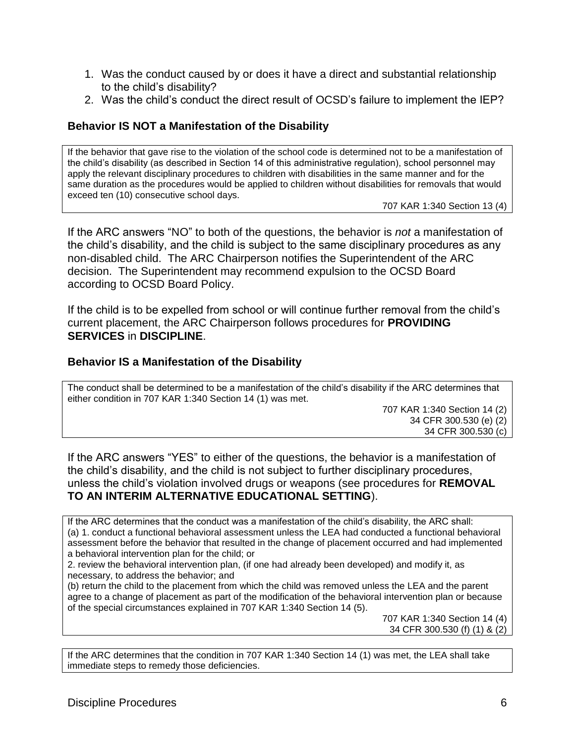- 1. Was the conduct caused by or does it have a direct and substantial relationship to the child's disability?
- 2. Was the child's conduct the direct result of OCSD's failure to implement the IEP?

#### **Behavior IS NOT a Manifestation of the Disability**

If the behavior that gave rise to the violation of the school code is determined not to be a manifestation of the child's disability (as described in Section 14 of this administrative regulation), school personnel may apply the relevant disciplinary procedures to children with disabilities in the same manner and for the same duration as the procedures would be applied to children without disabilities for removals that would exceed ten (10) consecutive school days.

707 KAR 1:340 Section 13 (4)

If the ARC answers "NO" to both of the questions, the behavior is *not* a manifestation of the child's disability, and the child is subject to the same disciplinary procedures as any non-disabled child. The ARC Chairperson notifies the Superintendent of the ARC decision. The Superintendent may recommend expulsion to the OCSD Board according to OCSD Board Policy.

If the child is to be expelled from school or will continue further removal from the child's current placement, the ARC Chairperson follows procedures for **PROVIDING SERVICES** in **DISCIPLINE**.

#### **Behavior IS a Manifestation of the Disability**

The conduct shall be determined to be a manifestation of the child's disability if the ARC determines that either condition in 707 KAR 1:340 Section 14 (1) was met.

> 707 KAR 1:340 Section 14 (2) 34 CFR 300.530 (e) (2) 34 CFR 300.530 (c)

If the ARC answers "YES" to either of the questions, the behavior is a manifestation of the child's disability, and the child is not subject to further disciplinary procedures, unless the child's violation involved drugs or weapons (see procedures for **REMOVAL TO AN INTERIM ALTERNATIVE EDUCATIONAL SETTING**).

If the ARC determines that the conduct was a manifestation of the child's disability, the ARC shall: (a) 1. conduct a functional behavioral assessment unless the LEA had conducted a functional behavioral assessment before the behavior that resulted in the change of placement occurred and had implemented a behavioral intervention plan for the child; or

2. review the behavioral intervention plan, (if one had already been developed) and modify it, as necessary, to address the behavior; and

(b) return the child to the placement from which the child was removed unless the LEA and the parent agree to a change of placement as part of the modification of the behavioral intervention plan or because of the special circumstances explained in 707 KAR 1:340 Section 14 (5).

> 707 KAR 1:340 Section 14 (4) 34 CFR 300.530 (f) (1) & (2)

If the ARC determines that the condition in 707 KAR 1:340 Section 14 (1) was met, the LEA shall take immediate steps to remedy those deficiencies.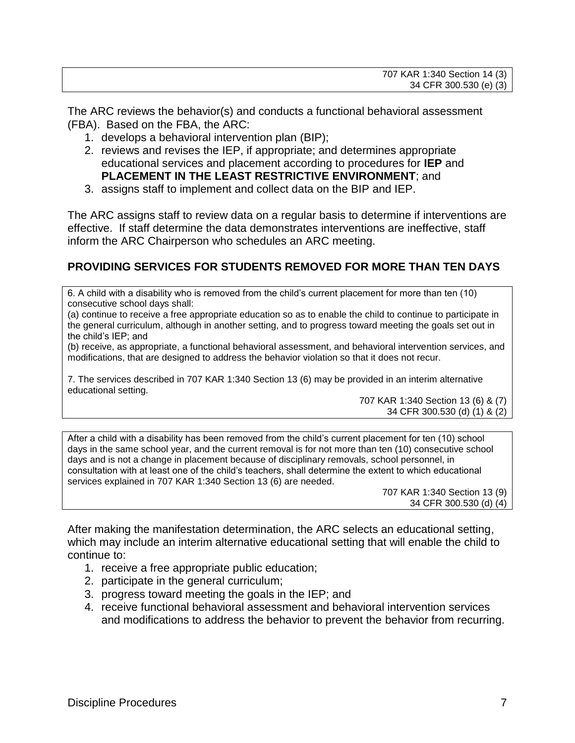The ARC reviews the behavior(s) and conducts a functional behavioral assessment (FBA). Based on the FBA, the ARC:

- 1. develops a behavioral intervention plan (BIP);
- 2. reviews and revises the IEP, if appropriate; and determines appropriate educational services and placement according to procedures for **IEP** and **PLACEMENT IN THE LEAST RESTRICTIVE ENVIRONMENT**; and
- 3. assigns staff to implement and collect data on the BIP and IEP.

The ARC assigns staff to review data on a regular basis to determine if interventions are effective. If staff determine the data demonstrates interventions are ineffective, staff inform the ARC Chairperson who schedules an ARC meeting.

# **PROVIDING SERVICES FOR STUDENTS REMOVED FOR MORE THAN TEN DAYS**

6. A child with a disability who is removed from the child's current placement for more than ten (10) consecutive school days shall:

(a) continue to receive a free appropriate education so as to enable the child to continue to participate in the general curriculum, although in another setting, and to progress toward meeting the goals set out in the child's IEP; and

(b) receive, as appropriate, a functional behavioral assessment, and behavioral intervention services, and modifications, that are designed to address the behavior violation so that it does not recur.

7. The services described in 707 KAR 1:340 Section 13 (6) may be provided in an interim alternative educational setting.

707 KAR 1:340 Section 13 (6) & (7) 34 CFR 300.530 (d) (1) & (2)

After a child with a disability has been removed from the child's current placement for ten (10) school days in the same school year, and the current removal is for not more than ten (10) consecutive school days and is not a change in placement because of disciplinary removals, school personnel, in consultation with at least one of the child's teachers, shall determine the extent to which educational services explained in 707 KAR 1:340 Section 13 (6) are needed.

> 707 KAR 1:340 Section 13 (9) 34 CFR 300.530 (d) (4)

After making the manifestation determination, the ARC selects an educational setting, which may include an interim alternative educational setting that will enable the child to continue to:

- 1. receive a free appropriate public education;
- 2. participate in the general curriculum;
- 3. progress toward meeting the goals in the IEP; and
- 4. receive functional behavioral assessment and behavioral intervention services and modifications to address the behavior to prevent the behavior from recurring.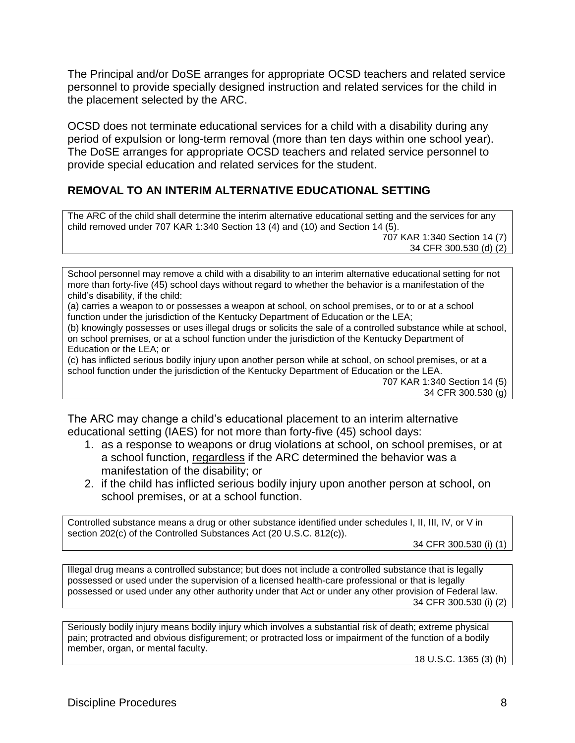The Principal and/or DoSE arranges for appropriate OCSD teachers and related service personnel to provide specially designed instruction and related services for the child in the placement selected by the ARC.

OCSD does not terminate educational services for a child with a disability during any period of expulsion or long-term removal (more than ten days within one school year). The DoSE arranges for appropriate OCSD teachers and related service personnel to provide special education and related services for the student.

# **REMOVAL TO AN INTERIM ALTERNATIVE EDUCATIONAL SETTING**

The ARC of the child shall determine the interim alternative educational setting and the services for any child removed under 707 KAR 1:340 Section 13 (4) and (10) and Section 14 (5). 707 KAR 1:340 Section 14 (7)

34 CFR 300.530 (d) (2)

School personnel may remove a child with a disability to an interim alternative educational setting for not more than forty-five (45) school days without regard to whether the behavior is a manifestation of the child's disability, if the child:

(a) carries a weapon to or possesses a weapon at school, on school premises, or to or at a school function under the jurisdiction of the Kentucky Department of Education or the LEA;

(b) knowingly possesses or uses illegal drugs or solicits the sale of a controlled substance while at school, on school premises, or at a school function under the jurisdiction of the Kentucky Department of Education or the LEA; or

(c) has inflicted serious bodily injury upon another person while at school, on school premises, or at a school function under the jurisdiction of the Kentucky Department of Education or the LEA.

707 KAR 1:340 Section 14 (5) 34 CFR 300.530 (g)

The ARC may change a child's educational placement to an interim alternative educational setting (IAES) for not more than forty-five (45) school days:

- 1. as a response to weapons or drug violations at school, on school premises, or at a school function, regardless if the ARC determined the behavior was a manifestation of the disability; or
- 2. if the child has inflicted serious bodily injury upon another person at school, on school premises, or at a school function.

Controlled substance means a drug or other substance identified under schedules I, II, III, IV, or V in section 202(c) of the Controlled Substances Act (20 U.S.C. 812(c)).

34 CFR 300.530 (i) (1)

Illegal drug means a controlled substance; but does not include a controlled substance that is legally possessed or used under the supervision of a licensed health-care professional or that is legally possessed or used under any other authority under that Act or under any other provision of Federal law. 34 CFR 300.530 (i) (2)

Seriously bodily injury means bodily injury which involves a substantial risk of death; extreme physical pain; protracted and obvious disfigurement; or protracted loss or impairment of the function of a bodily member, organ, or mental faculty.

18 U.S.C. 1365 (3) (h)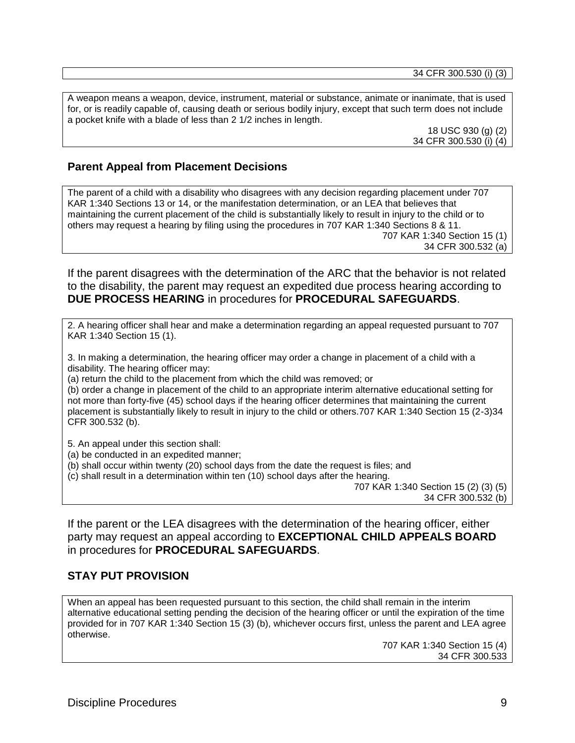34 CFR 300.530 (i) (3)

A weapon means a weapon, device, instrument, material or substance, animate or inanimate, that is used for, or is readily capable of, causing death or serious bodily injury, except that such term does not include a pocket knife with a blade of less than 2 1/2 inches in length.

18 USC 930 (g) (2) 34 CFR 300.530 (i) (4)

### **Parent Appeal from Placement Decisions**

The parent of a child with a disability who disagrees with any decision regarding placement under 707 KAR 1:340 Sections 13 or 14, or the manifestation determination, or an LEA that believes that maintaining the current placement of the child is substantially likely to result in injury to the child or to others may request a hearing by filing using the procedures in 707 KAR 1:340 Sections 8 & 11. 707 KAR 1:340 Section 15 (1) 34 CFR 300.532 (a)

If the parent disagrees with the determination of the ARC that the behavior is not related to the disability, the parent may request an expedited due process hearing according to **DUE PROCESS HEARING** in procedures for **PROCEDURAL SAFEGUARDS**.

2. A hearing officer shall hear and make a determination regarding an appeal requested pursuant to 707 KAR 1:340 Section 15 (1).

3. In making a determination, the hearing officer may order a change in placement of a child with a disability. The hearing officer may:

(a) return the child to the placement from which the child was removed; or

(b) order a change in placement of the child to an appropriate interim alternative educational setting for not more than forty-five (45) school days if the hearing officer determines that maintaining the current placement is substantially likely to result in injury to the child or others.707 KAR 1:340 Section 15 (2-3)34 CFR 300.532 (b).

5. An appeal under this section shall:

(a) be conducted in an expedited manner;

(b) shall occur within twenty (20) school days from the date the request is files; and

(c) shall result in a determination within ten (10) school days after the hearing.

707 KAR 1:340 Section 15 (2) (3) (5)

34 CFR 300.532 (b)

If the parent or the LEA disagrees with the determination of the hearing officer, either party may request an appeal according to **EXCEPTIONAL CHILD APPEALS BOARD**  in procedures for **PROCEDURAL SAFEGUARDS**.

### **STAY PUT PROVISION**

When an appeal has been requested pursuant to this section, the child shall remain in the interim alternative educational setting pending the decision of the hearing officer or until the expiration of the time provided for in 707 KAR 1:340 Section 15 (3) (b), whichever occurs first, unless the parent and LEA agree otherwise.

> 707 KAR 1:340 Section 15 (4) 34 CFR 300.533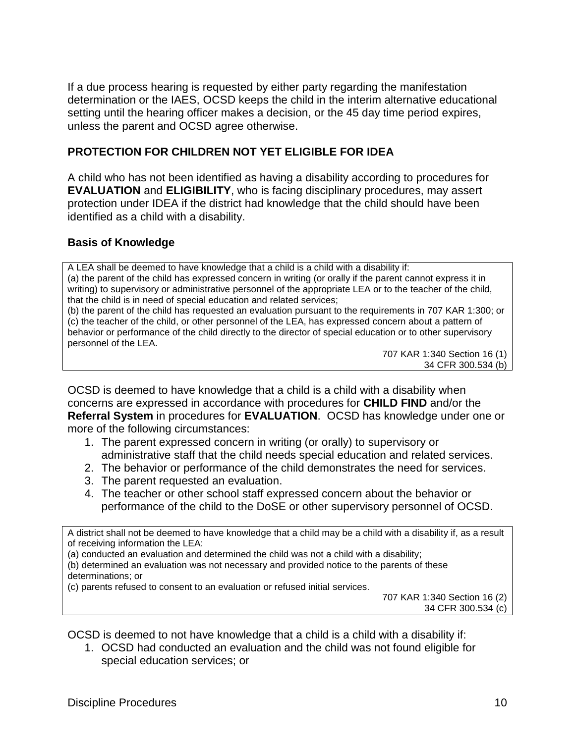If a due process hearing is requested by either party regarding the manifestation determination or the IAES, OCSD keeps the child in the interim alternative educational setting until the hearing officer makes a decision, or the 45 day time period expires, unless the parent and OCSD agree otherwise.

# **PROTECTION FOR CHILDREN NOT YET ELIGIBLE FOR IDEA**

A child who has not been identified as having a disability according to procedures for **EVALUATION** and **ELIGIBILITY**, who is facing disciplinary procedures, may assert protection under IDEA if the district had knowledge that the child should have been identified as a child with a disability.

# **Basis of Knowledge**

A LEA shall be deemed to have knowledge that a child is a child with a disability if: (a) the parent of the child has expressed concern in writing (or orally if the parent cannot express it in writing) to supervisory or administrative personnel of the appropriate LEA or to the teacher of the child, that the child is in need of special education and related services;

(b) the parent of the child has requested an evaluation pursuant to the requirements in 707 KAR 1:300; or (c) the teacher of the child, or other personnel of the LEA, has expressed concern about a pattern of behavior or performance of the child directly to the director of special education or to other supervisory personnel of the LEA.

707 KAR 1:340 Section 16 (1) 34 CFR 300.534 (b)

OCSD is deemed to have knowledge that a child is a child with a disability when concerns are expressed in accordance with procedures for **CHILD FIND** and/or the **Referral System** in procedures for **EVALUATION**. OCSD has knowledge under one or more of the following circumstances:

- 1. The parent expressed concern in writing (or orally) to supervisory or administrative staff that the child needs special education and related services.
- 2. The behavior or performance of the child demonstrates the need for services.
- 3. The parent requested an evaluation.
- 4. The teacher or other school staff expressed concern about the behavior or performance of the child to the DoSE or other supervisory personnel of OCSD.

A district shall not be deemed to have knowledge that a child may be a child with a disability if, as a result of receiving information the LEA:

(a) conducted an evaluation and determined the child was not a child with a disability;

(b) determined an evaluation was not necessary and provided notice to the parents of these determinations; or

(c) parents refused to consent to an evaluation or refused initial services.

707 KAR 1:340 Section 16 (2) 34 CFR 300.534 (c)

OCSD is deemed to not have knowledge that a child is a child with a disability if:

1. OCSD had conducted an evaluation and the child was not found eligible for special education services; or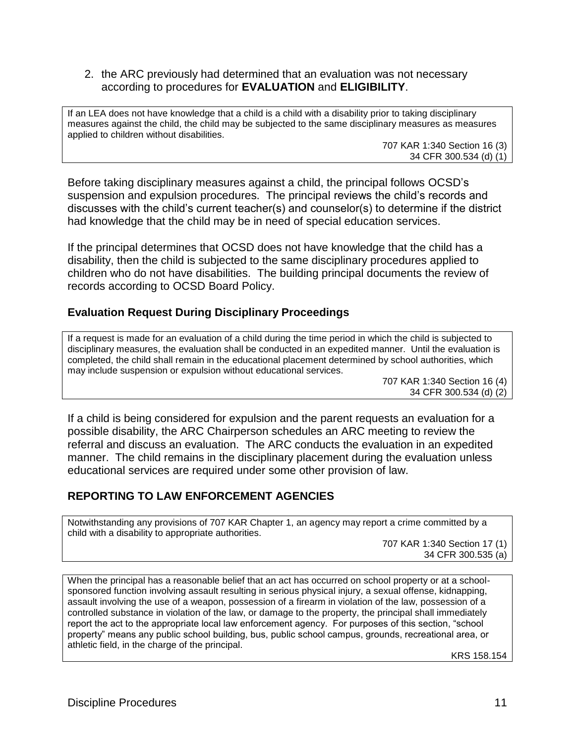#### 2. the ARC previously had determined that an evaluation was not necessary according to procedures for **EVALUATION** and **ELIGIBILITY**.

If an LEA does not have knowledge that a child is a child with a disability prior to taking disciplinary measures against the child, the child may be subjected to the same disciplinary measures as measures applied to children without disabilities.

707 KAR 1:340 Section 16 (3) 34 CFR 300.534 (d) (1)

Before taking disciplinary measures against a child, the principal follows OCSD's suspension and expulsion procedures. The principal reviews the child's records and discusses with the child's current teacher(s) and counselor(s) to determine if the district had knowledge that the child may be in need of special education services.

If the principal determines that OCSD does not have knowledge that the child has a disability, then the child is subjected to the same disciplinary procedures applied to children who do not have disabilities. The building principal documents the review of records according to OCSD Board Policy.

### **Evaluation Request During Disciplinary Proceedings**

If a request is made for an evaluation of a child during the time period in which the child is subjected to disciplinary measures, the evaluation shall be conducted in an expedited manner. Until the evaluation is completed, the child shall remain in the educational placement determined by school authorities, which may include suspension or expulsion without educational services.

> 707 KAR 1:340 Section 16 (4) 34 CFR 300.534 (d) (2)

If a child is being considered for expulsion and the parent requests an evaluation for a possible disability, the ARC Chairperson schedules an ARC meeting to review the referral and discuss an evaluation. The ARC conducts the evaluation in an expedited manner. The child remains in the disciplinary placement during the evaluation unless educational services are required under some other provision of law.

### **REPORTING TO LAW ENFORCEMENT AGENCIES**

Notwithstanding any provisions of 707 KAR Chapter 1, an agency may report a crime committed by a child with a disability to appropriate authorities.

707 KAR 1:340 Section 17 (1) 34 CFR 300.535 (a)

When the principal has a reasonable belief that an act has occurred on school property or at a schoolsponsored function involving assault resulting in serious physical injury, a sexual offense, kidnapping, assault involving the use of a weapon, possession of a firearm in violation of the law, possession of a controlled substance in violation of the law, or damage to the property, the principal shall immediately report the act to the appropriate local law enforcement agency. For purposes of this section, "school property" means any public school building, bus, public school campus, grounds, recreational area, or athletic field, in the charge of the principal.

KRS 158.154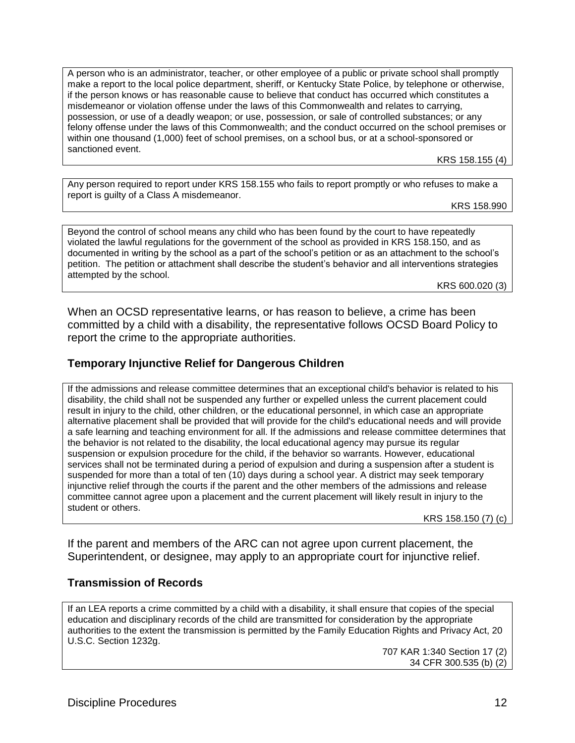A person who is an administrator, teacher, or other employee of a public or private school shall promptly make a report to the local police department, sheriff, or Kentucky State Police, by telephone or otherwise, if the person knows or has reasonable cause to believe that conduct has occurred which constitutes a misdemeanor or violation offense under the laws of this Commonwealth and relates to carrying, possession, or use of a deadly weapon; or use, possession, or sale of controlled substances; or any felony offense under the laws of this Commonwealth; and the conduct occurred on the school premises or within one thousand (1,000) feet of school premises, on a school bus, or at a school-sponsored or sanctioned event.

KRS 158.155 (4)

Any person required to report under KRS 158.155 who fails to report promptly or who refuses to make a report is guilty of a Class A misdemeanor.

KRS 158.990

Beyond the control of school means any child who has been found by the court to have repeatedly violated the lawful regulations for the government of the school as provided in KRS 158.150, and as documented in writing by the school as a part of the school's petition or as an attachment to the school's petition. The petition or attachment shall describe the student's behavior and all interventions strategies attempted by the school.

KRS 600.020 (3)

When an OCSD representative learns, or has reason to believe, a crime has been committed by a child with a disability, the representative follows OCSD Board Policy to report the crime to the appropriate authorities.

### **Temporary Injunctive Relief for Dangerous Children**

If the admissions and release committee determines that an exceptional child's behavior is related to his disability, the child shall not be suspended any further or expelled unless the current placement could result in injury to the child, other children, or the educational personnel, in which case an appropriate alternative placement shall be provided that will provide for the child's educational needs and will provide a safe learning and teaching environment for all. If the admissions and release committee determines that the behavior is not related to the disability, the local educational agency may pursue its regular suspension or expulsion procedure for the child, if the behavior so warrants. However, educational services shall not be terminated during a period of expulsion and during a suspension after a student is suspended for more than a total of ten (10) days during a school year. A district may seek temporary injunctive relief through the courts if the parent and the other members of the admissions and release committee cannot agree upon a placement and the current placement will likely result in injury to the student or others.

KRS 158.150 (7) (c)

If the parent and members of the ARC can not agree upon current placement, the Superintendent, or designee, may apply to an appropriate court for injunctive relief.

### **Transmission of Records**

If an LEA reports a crime committed by a child with a disability, it shall ensure that copies of the special education and disciplinary records of the child are transmitted for consideration by the appropriate authorities to the extent the transmission is permitted by the Family Education Rights and Privacy Act, 20 U.S.C. Section 1232g.

707 KAR 1:340 Section 17 (2) 34 CFR 300.535 (b) (2)